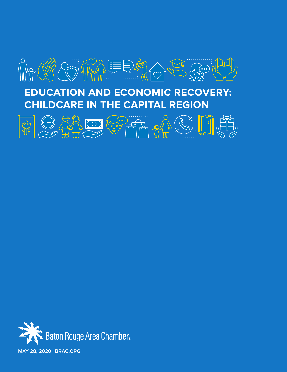

# **EDUCATION AND ECONOMIC RECOVERY: CHILDCARE IN THE CAPITAL REGION**



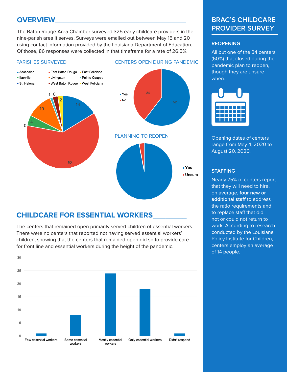## **OVERVIEW\_\_\_\_\_\_\_\_\_\_\_\_\_\_\_\_\_\_\_\_\_\_\_\_\_\_\_\_\_\_\_**

The Baton Rouge Area Chamber surveyed 325 early childcare providers in the nine-parish area it serves. Surveys were emailed out between May 15 and 20 using contact information provided by the Louisiana Department of Education. Of those, 86 responses were collected in that timeframe for a rate of 26.5%.





## **CHILDCARE FOR ESSENTIAL WORKERS\_\_\_\_\_\_\_\_**

The centers that remained open primarily served children of essential workers. There were no centers that reported not having served essential workers' children, showing that the centers that remained open did so to provide care for front line and essential workers during the height of the pandemic.



## **BRAC'S CHILDCARE PROVIDER SURVEY**

#### **REOPENING**

All but one of the 34 centers (60%) that closed during the pandemic plan to reopen, though they are unsure when.

| a katika M |           |
|------------|-----------|
|            | ===<br>T. |
|            |           |

Opening dates of centers range from May 4, 2020 to August 20, 2020.

#### **STAFFING**

Nearly 75% of centers report that they will need to hire, on average, **four new or additional staff** to address the ratio requirements and to replace staff that did not or could not return to work. According to research conducted by the Louisiana Policy Institute for Children, centers employ an average of 14 people.